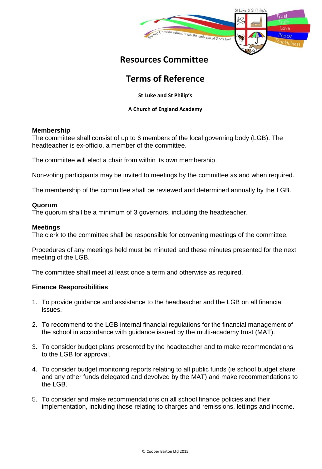

## **Resources Committee**

# **Terms of Reference**

**St Luke and St Philip's** 

#### **A Church of England Academy**

#### **Membership**

The committee shall consist of up to 6 members of the local governing body (LGB). The headteacher is ex-officio, a member of the committee.

The committee will elect a chair from within its own membership.

Non-voting participants may be invited to meetings by the committee as and when required.

The membership of the committee shall be reviewed and determined annually by the LGB.

#### **Quorum**

The quorum shall be a minimum of 3 governors, including the headteacher.

#### **Meetings**

The clerk to the committee shall be responsible for convening meetings of the committee.

Procedures of any meetings held must be minuted and these minutes presented for the next meeting of the LGB.

The committee shall meet at least once a term and otherwise as required.

#### **Finance Responsibilities**

- 1. To provide guidance and assistance to the headteacher and the LGB on all financial issues.
- 2. To recommend to the LGB internal financial regulations for the financial management of the school in accordance with guidance issued by the multi-academy trust (MAT).
- 3. To consider budget plans presented by the headteacher and to make recommendations to the LGB for approval.
- 4. To consider budget monitoring reports relating to all public funds (ie school budget share and any other funds delegated and devolved by the MAT) and make recommendations to the LGB.
- 5. To consider and make recommendations on all school finance policies and their implementation, including those relating to charges and remissions, lettings and income.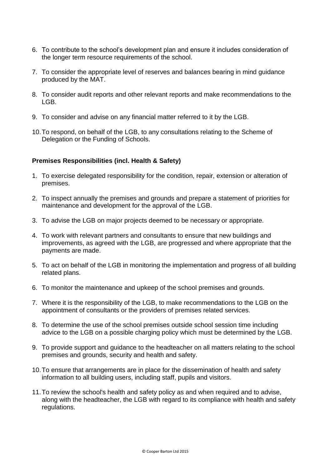- 6. To contribute to the school's development plan and ensure it includes consideration of the longer term resource requirements of the school.
- 7. To consider the appropriate level of reserves and balances bearing in mind guidance produced by the MAT.
- 8. To consider audit reports and other relevant reports and make recommendations to the LGB.
- 9. To consider and advise on any financial matter referred to it by the LGB.
- 10.To respond, on behalf of the LGB, to any consultations relating to the Scheme of Delegation or the Funding of Schools.

## **Premises Responsibilities (incl. Health & Safety)**

- 1. To exercise delegated responsibility for the condition, repair, extension or alteration of premises.
- 2. To inspect annually the premises and grounds and prepare a statement of priorities for maintenance and development for the approval of the LGB.
- 3. To advise the LGB on major projects deemed to be necessary or appropriate.
- 4. To work with relevant partners and consultants to ensure that new buildings and improvements, as agreed with the LGB, are progressed and where appropriate that the payments are made.
- 5. To act on behalf of the LGB in monitoring the implementation and progress of all building related plans.
- 6. To monitor the maintenance and upkeep of the school premises and grounds.
- 7. Where it is the responsibility of the LGB, to make recommendations to the LGB on the appointment of consultants or the providers of premises related services.
- 8. To determine the use of the school premises outside school session time including advice to the LGB on a possible charging policy which must be determined by the LGB.
- 9. To provide support and guidance to the headteacher on all matters relating to the school premises and grounds, security and health and safety.
- 10.To ensure that arrangements are in place for the dissemination of health and safety information to all building users, including staff, pupils and visitors.
- 11.To review the school's health and safety policy as and when required and to advise, along with the headteacher, the LGB with regard to its compliance with health and safety regulations.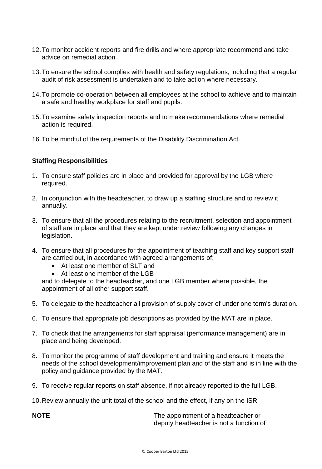- 12.To monitor accident reports and fire drills and where appropriate recommend and take advice on remedial action.
- 13.To ensure the school complies with health and safety regulations, including that a regular audit of risk assessment is undertaken and to take action where necessary.
- 14.To promote co-operation between all employees at the school to achieve and to maintain a safe and healthy workplace for staff and pupils.
- 15.To examine safety inspection reports and to make recommendations where remedial action is required.
- 16.To be mindful of the requirements of the Disability Discrimination Act.

## **Staffing Responsibilities**

- 1. To ensure staff policies are in place and provided for approval by the LGB where required.
- 2. In conjunction with the headteacher, to draw up a staffing structure and to review it annually.
- 3. To ensure that all the procedures relating to the recruitment, selection and appointment of staff are in place and that they are kept under review following any changes in legislation.
- 4. To ensure that all procedures for the appointment of teaching staff and key support staff are carried out, in accordance with agreed arrangements of;
	- At least one member of SLT and
	- At least one member of the LGB

and to delegate to the headteacher, and one LGB member where possible, the appointment of all other support staff.

- 5. To delegate to the headteacher all provision of supply cover of under one term's duration.
- 6. To ensure that appropriate job descriptions as provided by the MAT are in place.
- 7. To check that the arrangements for staff appraisal (performance management) are in place and being developed.
- 8. To monitor the programme of staff development and training and ensure it meets the needs of the school development/improvement plan and of the staff and is in line with the policy and guidance provided by the MAT.
- 9. To receive regular reports on staff absence, if not already reported to the full LGB.

10.Review annually the unit total of the school and the effect, if any on the ISR

**NOTE The appointment of a headteacher or** deputy headteacher is not a function of